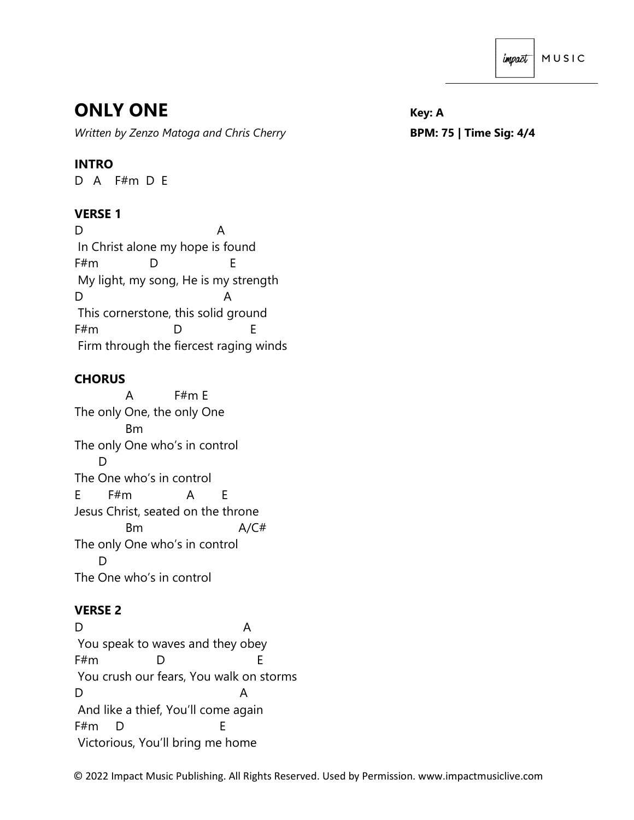# **ONLY ONE** *Key: A*

*Written by Zenzo Matoga and Chris Cherry* **BPM: 75 | Time Sig: 4/4**

## **INTRO**

D A F#m D E

## **VERSE 1**

D A In Christ alone my hope is found F#m D E My light, my song, He is my strength D A This cornerstone, this solid ground F#m D E Firm through the fiercest raging winds

## **CHORUS**

 A F#m E The only One, the only One Bm The only One who's in control D The One who's in control E F#m A E Jesus Christ, seated on the throne Bm A/C# The only One who's in control D<sub>1</sub> The One who's in control

#### **VERSE 2**

D A You speak to waves and they obey F#m D E You crush our fears, You walk on storms D A And like a thief, You'll come again F#m D E Victorious, You'll bring me home